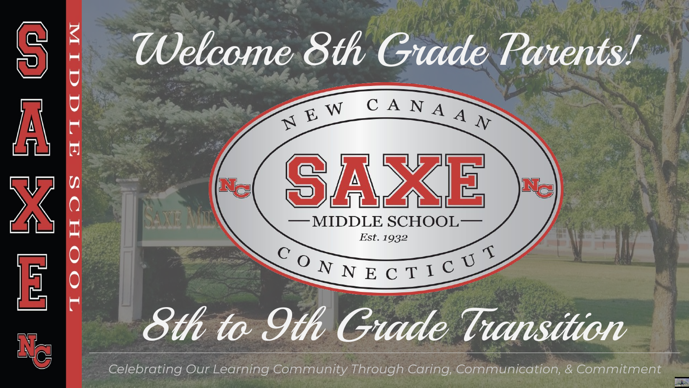

*Celebrating Our Learning Community Through Caring, Communication, & Commitment*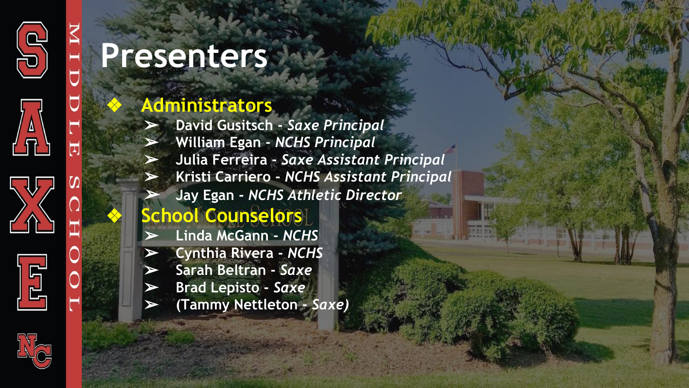

 $\Omega$ 





## **Presenters**

### ❖ **Administrators**

➢ **David Gusitsch -** *Saxe Principal* ➢ **William Egan -** *NCHS Principal* ➢ **Julia Ferreira -** *Saxe Assistant Principal* ➢ **Kristi Carriero -** *NCHS Assistant Principal* ➢**Jay Egan** *- NCHS Athletic Director*

## ❖ **School Counselors**

- ➢ **Linda McGann** *NCHS*
- ➢ **Cynthia Rivera** *NCHS*
	- ➢ **Sarah Beltran** *Saxe*
	- ➢ **Brad Lepisto** *Saxe*
	- ➢ **(Tammy Nettleton** *Saxe)*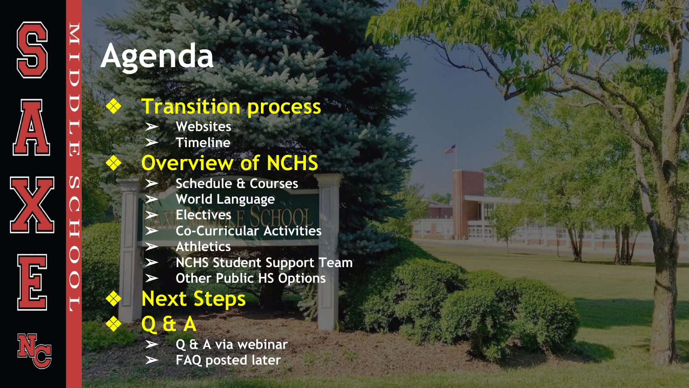

 $\overline{\mathbf{u}}$ 

 $\Omega \vert$ 





# **Agenda**

## ❖ **Transition process**

- ➢ **Websites**
- ➢ **Timeline**

### ❖ **Overview of NCHS**

- ➢ **Schedule & Courses**
- ➢ **World Language**
- ➢ **Electives**
- ➢ **Co-Curricular Activities**
- ➢ **Athletics**
- ➢ **NCHS Student Support Team**
- ➢ **Other Public HS Options**
- ❖ **Next Steps**
- ❖ **Q & A**
	- ➢ **Q & A via webinar**
	- ➢ **FAQ posted later**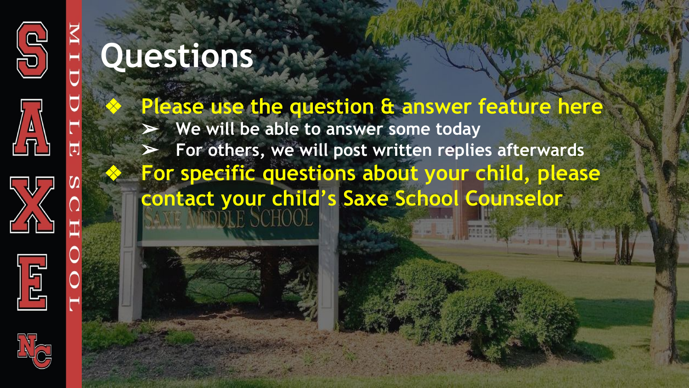





Please use the question & answer feature here ➢ **We will be able to answer some today** ➢ **For others, we will post written replies afterwards** ❖ **For specific questions about your child, please contact your child's Saxe School Counselor**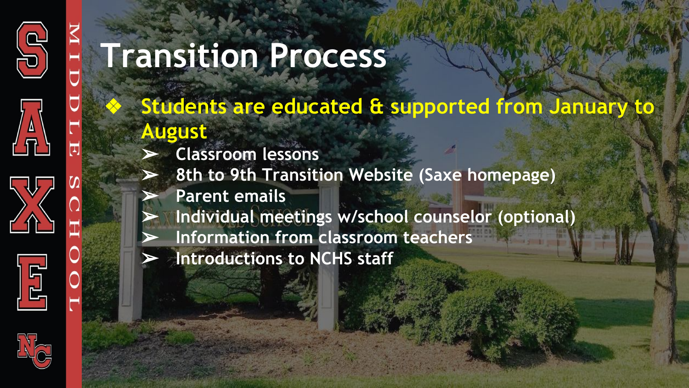





## **Transition Process**

❖ **Students are educated & supported from January to August**

- ➢ **Classroom lessons**
- ➢ **8th to 9th Transition Website (Saxe homepage)**
- ➢ **Parent emails**
- ➢ **Individual meetings w/school counselor (optional)**
- ➢ **Information from classroom teachers**
- ➢ **Introductions to NCHS staff**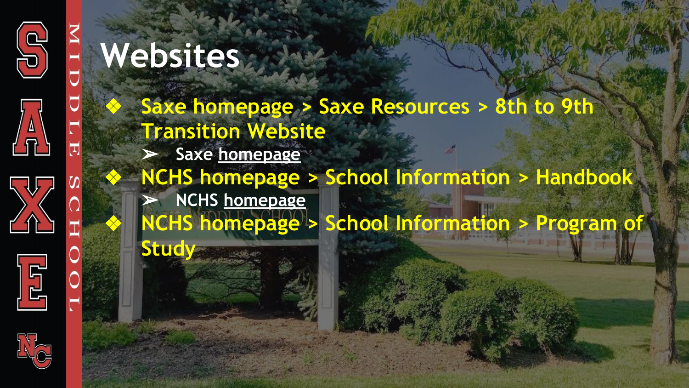



 $\Omega \vert$ 

O





**Study**

❖ **Saxe homepage > Saxe Resources > 8th to 9th Transition Website** ➢ **Saxe [homepage](https://www.ncps-k12.org/Domain/10)** ❖ **NCHS homepage > School Information > Handbook** ➢ **NCHS [homepage](https://www.ncps-k12.org/Domain/9)** ❖ **NCHS homepage > School Information > Program of**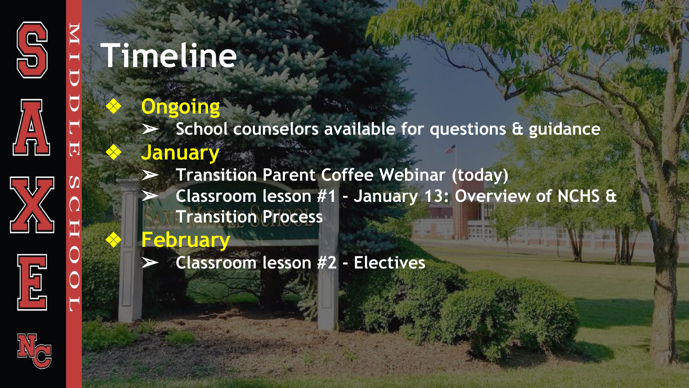





# **Timeline**

### ❖ **Ongoing**

➢ **School counselors available for questions & guidance** ❖ **January**

➢ **Transition Parent Coffee Webinar (today)** ➢ **Classroom lesson #1 - January 13: Overview of NCHS & Transition Process**

❖ **February**

➢ **Classroom lesson #2 - Electives**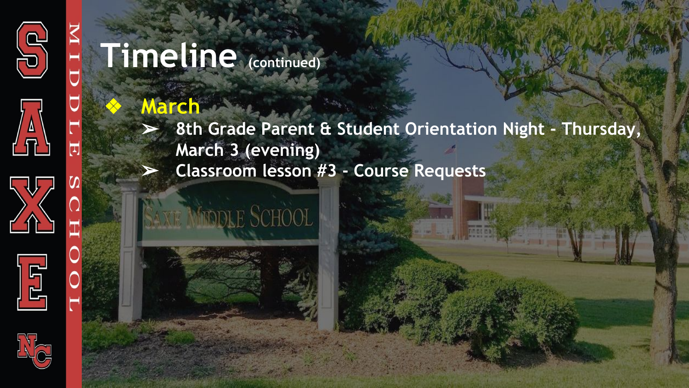

# **Timeline (continued)**

### ❖ **March**

➢ **8th Grade Parent & Student Orientation Night - Thursday, March 3 (evening)** ➢ **Classroom lesson #3 - Course Requests**



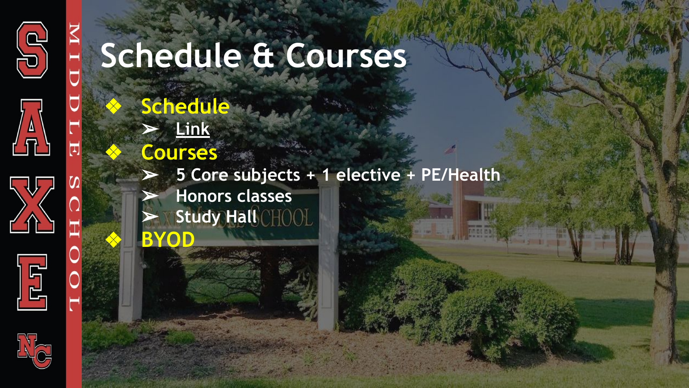

U

히

 $\boldsymbol{\omega}$ 





# **Schedule & Courses**

❖ **Schedule** ➢ **[Link](https://docs.google.com/spreadsheets/d/1VEmbgA-gTDekXviOQNmC3oAY6bL_iRnq/edit?usp=sharing&ouid=106035902370472729262&rtpof=true&sd=true)**

## ❖ **Courses**

➢ **5 Core subjects + 1 elective + PE/Health**

➢ **Honors classes Study Hall**CHOOL ❖ **BYOD**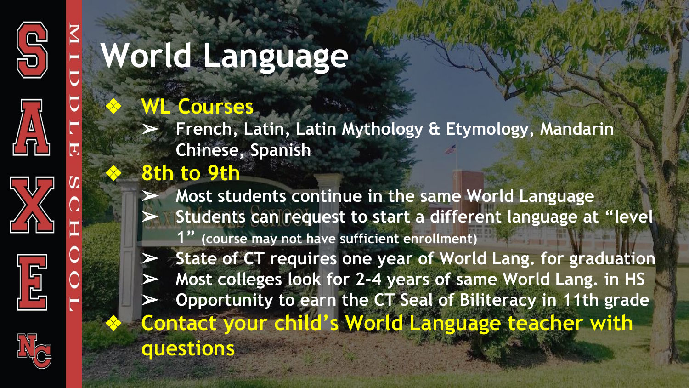



 $\boldsymbol{\Omega}$ 





# **World Language**

## ❖ **WL Courses**

➢ **French, Latin, Latin Mythology & Etymology, Mandarin Chinese, Spanish**

## ❖ **8th to 9th**

➢ **Most students continue in the same World Language** ➢ **Students can request to start a different language at "level 1" (course may not have sufficient enrollment)** ➢ **State of CT requires one year of World Lang. for graduation**

➢ **Most colleges look for 2-4 years of same World Lang. in HS** ➢ **Opportunity to earn the CT Seal of Biliteracy in 11th grade** ❖ **Contact your child's World Language teacher with questions**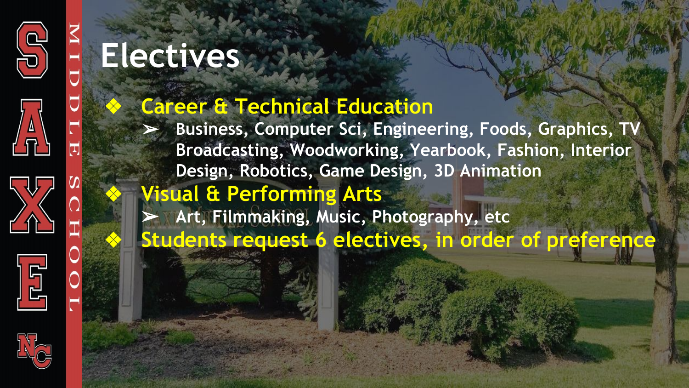





### ❖ **Career & Technical Education**

➢ **Business, Computer Sci, Engineering, Foods, Graphics, TV Broadcasting, Woodworking, Yearbook, Fashion, Interior Design, Robotics, Game Design, 3D Animation**

## ❖ **Visual & Performing Arts**

➢ **Art, Filmmaking, Music, Photography, etc** ❖ **Students request 6 electives, in order of preference**

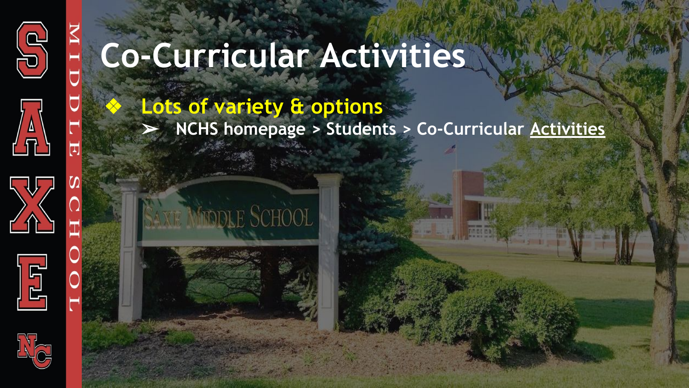







### ❖ **Lots of variety & options** ➢ **NCHS homepage > Students > Co-Curricular [Activities](https://www.ncps-k12.org/domain/73)**



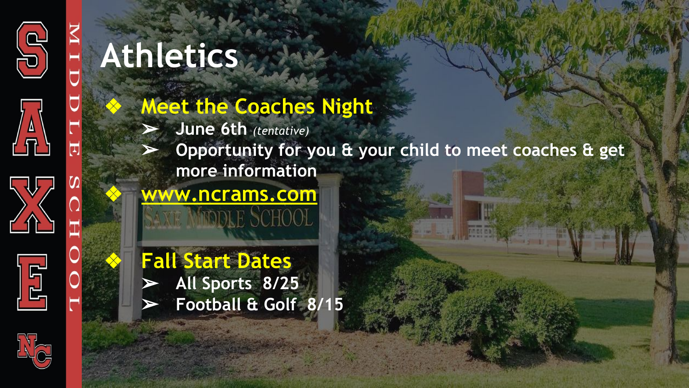





# **Athletics**

- **Meet the Coaches Night** 
	- ➢ **June 6th** *(tentative)*
	- ➢ **Opportunity for you & your child to meet coaches & get more information**

## ❖ **[www.ncrams.com](http://www.ncrams.com)**

❖ **Fall Start Dates** ➢ **All Sports 8/25** ➢ **Football & Golf 8/15**

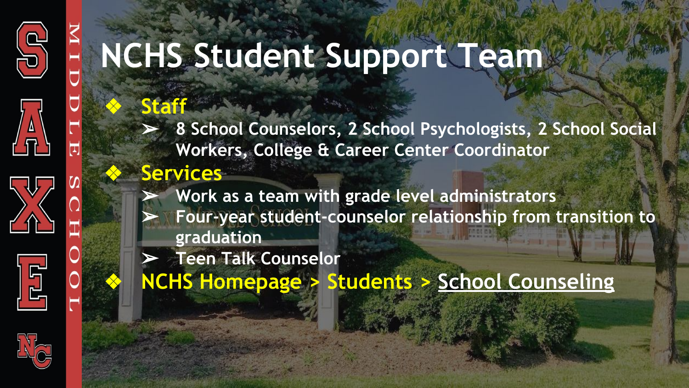





# **NCHS Student Support Team**

## ❖ **Staff**

➢ **8 School Counselors, 2 School Psychologists, 2 School Social Workers, College & Career Center Coordinator**

### ❖ **Services**

➢ **Work as a team with grade level administrators** ➢ **Four-year student-counselor relationship from transition to graduation**

➢ **Teen Talk Counselor**

❖ **NCHS Homepage > Students > [School Counseling](https://www.ncps-k12.org/domain/547)**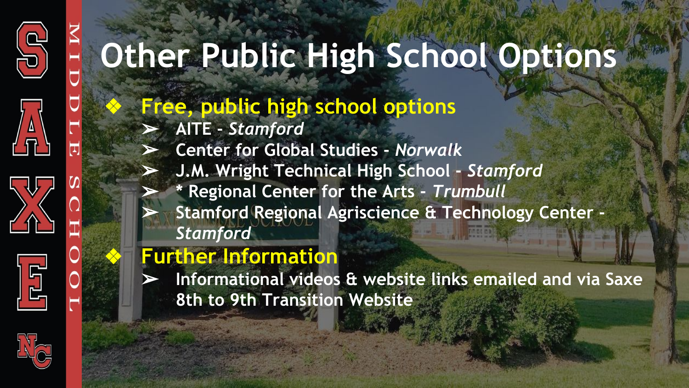





# **Other Public High School Options**

❖ **Free, public high school options**

➢ **AITE -** *Stamford*

➢ **Center for Global Studies -** *Norwalk*

➢ **J.M. Wright Technical High School -** *Stamford*

➢ **\* Regional Center for the Arts -** *Trumbull* ➢ **Stamford Regional Agriscience & Technology Center -**  *Stamford*

### ❖ **Further Information**

➢ **Informational videos & website links emailed and via Saxe 8th to 9th Transition Website**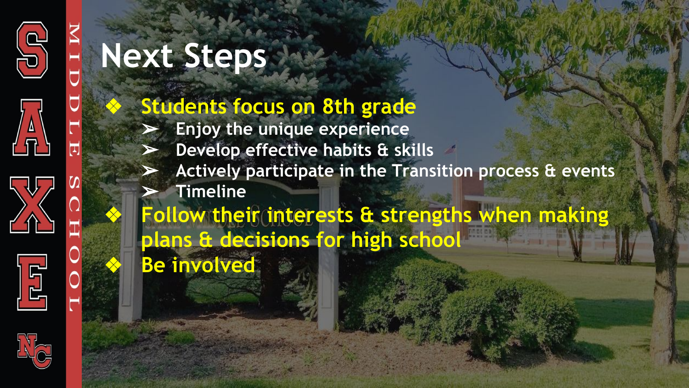







# **Next Steps**

## **Students focus on 8th grade**

- ➢ **Enjoy the unique experience**
- ➢ **Develop effective habits & skills**
- ➢ **Actively participate in the Transition process & events**
- ➢ **Timeline**

❖ **Follow their interests & strengths when making plans & decisions for high school**

**Be involved**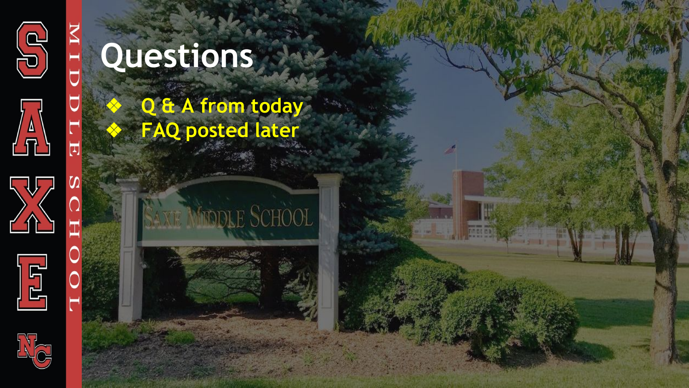

Н

Ò

U

 $\boxdot$ 

 $\Omega$ 

 $\Omega$ 







ЮĹ